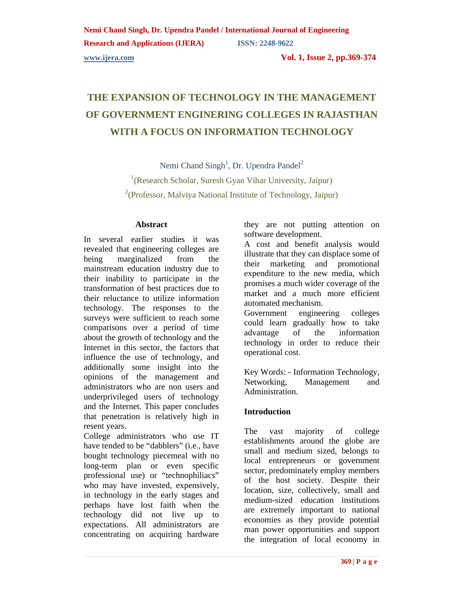**Research and Applications (IJERA) ISSN: 2248-9622** 

**www.ijera.com Vol. 1, Issue 2, pp.369-374** 

# **THE EXPANSION OF TECHNOLOGY IN THE MANAGEMENT OF GOVERNMENT ENGINERING COLLEGES IN RAJASTHAN WITH A FOCUS ON INFORMATION TECHNOLOGY**

Nemi Chand Singh<sup>1</sup>, Dr. Upendra Pandel<sup>2</sup> <sup>1</sup>(Research Scholar, Suresh Gyan Vihar University, Jaipur)  $2$ (Professor, Malviya National Institute of Technology, Jaipur)

### **Abstract**

In several earlier studies it was revealed that engineering colleges are being marginalized from the mainstream education industry due to their inability to participate in the transformation of best practices due to their reluctance to utilize information technology. The responses to the surveys were sufficient to reach some comparisons over a period of time about the growth of technology and the Internet in this sector, the factors that influence the use of technology, and additionally some insight into the opinions of the management and administrators who are non users and underprivileged users of technology and the Internet. This paper concludes that penetration is relatively high in resent years.

College administrators who use IT have tended to be "dabblers" (i.e., have bought technology piecemeal with no long-term plan or even specific professional use) or "technophiliacs" who may have invested, expensively, in technology in the early stages and perhaps have lost faith when the technology did not live up to expectations. All administrators are concentrating on acquiring hardware they are not putting attention on software development.

A cost and benefit analysis would illustrate that they can displace some of their marketing and promotional expenditure to the new media, which promises a much wider coverage of the market and a much more efficient automated mechanism.

Government engineering colleges could learn gradually how to take advantage of the information technology in order to reduce their operational cost.

Key Words: - Information Technology, Networking, Management and Administration.

# **Introduction**

The vast majority of college establishments around the globe are small and medium sized, belongs to local entrepreneurs or government sector, predominately employ members of the host society. Despite their location, size, collectively, small and medium-sized education institutions are extremely important to national economies as they provide potential man power opportunities and support the integration of local economy in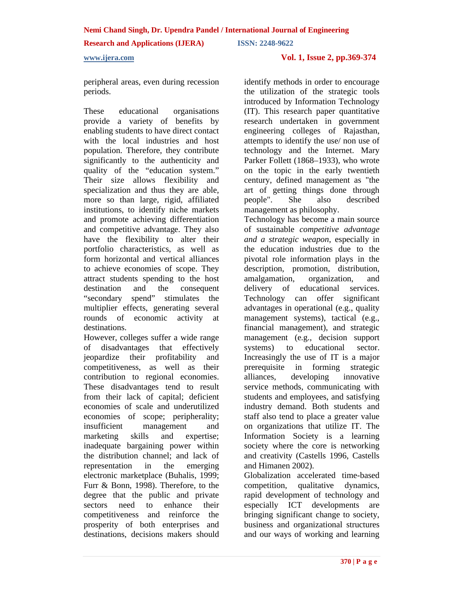**Research and Applications (IJERA) ISSN: 2248-9622** 

### **www.ijera.com Vol. 1, Issue 2, pp.369-374**

peripheral areas, even during recession periods.

These educational organisations provide a variety of benefits by enabling students to have direct contact with the local industries and host population. Therefore, they contribute significantly to the authenticity and quality of the "education system." Their size allows flexibility and specialization and thus they are able, more so than large, rigid, affiliated institutions, to identify niche markets and promote achieving differentiation and competitive advantage. They also have the flexibility to alter their portfolio characteristics, as well as form horizontal and vertical alliances to achieve economies of scope. They attract students spending to the host destination and the consequent "secondary spend" stimulates the multiplier effects, generating several rounds of economic activity at destinations.

However, colleges suffer a wide range of disadvantages that effectively jeopardize their profitability and competitiveness, as well as their contribution to regional economies. These disadvantages tend to result from their lack of capital; deficient economies of scale and underutilized economies of scope; peripherality; insufficient management and marketing skills and expertise; inadequate bargaining power within the distribution channel; and lack of representation in the emerging electronic marketplace (Buhalis, 1999; Furr & Bonn, 1998). Therefore, to the degree that the public and private sectors need to enhance their competitiveness and reinforce the prosperity of both enterprises and destinations, decisions makers should

identify methods in order to encourage the utilization of the strategic tools introduced by Information Technology (IT). This research paper quantitative research undertaken in government engineering colleges of Rajasthan, attempts to identify the use/ non use of technology and the Internet. Mary Parker Follett (1868–1933), who wrote on the topic in the early twentieth century, defined management as "the art of getting things done through people". She also described management as philosophy.

Technology has become a main source of sustainable *competitive advantage and a strategic weapon*, especially in the education industries due to the pivotal role information plays in the description, promotion, distribution, amalgamation, organization, and delivery of educational services. Technology can offer significant advantages in operational (e.g., quality management systems), tactical (e.g., financial management), and strategic management (e.g., decision support systems) to educational sector. Increasingly the use of IT is a major prerequisite in forming strategic alliances, developing innovative service methods, communicating with students and employees, and satisfying industry demand. Both students and staff also tend to place a greater value on organizations that utilize IT. The Information Society is a learning society where the core is networking and creativity (Castells 1996, Castells and Himanen 2002).

Globalization accelerated time-based competition, qualitative dynamics, rapid development of technology and especially ICT developments are bringing significant change to society, business and organizational structures and our ways of working and learning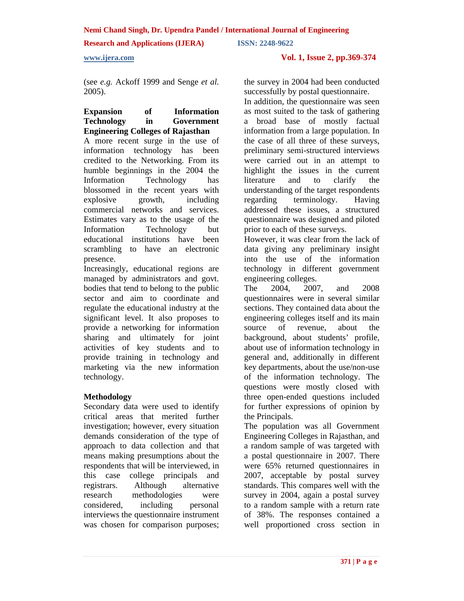### **Research and Applications (IJERA) ISSN: 2248-9622**

### **www.ijera.com Vol. 1, Issue 2, pp.369-374**

(see *e.g.* Ackoff 1999 and Senge *et al.*  2005).

### **Expansion of Information Technology in Government Engineering Colleges of Rajasthan**

A more recent surge in the use of information technology has been credited to the Networking. From its humble beginnings in the 2004 the Information Technology has blossomed in the recent years with explosive growth, including commercial networks and services. Estimates vary as to the usage of the Information Technology but educational institutions have been scrambling to have an electronic presence.

Increasingly, educational regions are managed by administrators and govt. bodies that tend to belong to the public sector and aim to coordinate and regulate the educational industry at the significant level. It also proposes to provide a networking for information sharing and ultimately for joint activities of key students and to provide training in technology and marketing via the new information technology.

### **Methodology**

Secondary data were used to identify critical areas that merited further investigation; however, every situation demands consideration of the type of approach to data collection and that means making presumptions about the respondents that will be interviewed, in this case college principals and registrars. Although alternative research methodologies were considered, including personal interviews the questionnaire instrument was chosen for comparison purposes;

the survey in 2004 had been conducted successfully by postal questionnaire.

In addition, the questionnaire was seen as most suited to the task of gathering a broad base of mostly factual information from a large population. In the case of all three of these surveys, preliminary semi-structured interviews were carried out in an attempt to highlight the issues in the current literature and to clarify the understanding of the target respondents regarding terminology. Having addressed these issues, a structured questionnaire was designed and piloted prior to each of these surveys.

However, it was clear from the lack of data giving any preliminary insight into the use of the information technology in different government engineering colleges.

The 2004, 2007, and 2008 questionnaires were in several similar sections. They contained data about the engineering colleges itself and its main source of revenue, about the background, about students' profile, about use of information technology in general and, additionally in different key departments, about the use/non-use of the information technology. The questions were mostly closed with three open-ended questions included for further expressions of opinion by the Principals.

The population was all Government Engineering Colleges in Rajasthan, and a random sample of was targeted with a postal questionnaire in 2007. There were 65% returned questionnaires in 2007, acceptable by postal survey standards. This compares well with the survey in 2004, again a postal survey to a random sample with a return rate of 38%. The responses contained a well proportioned cross section in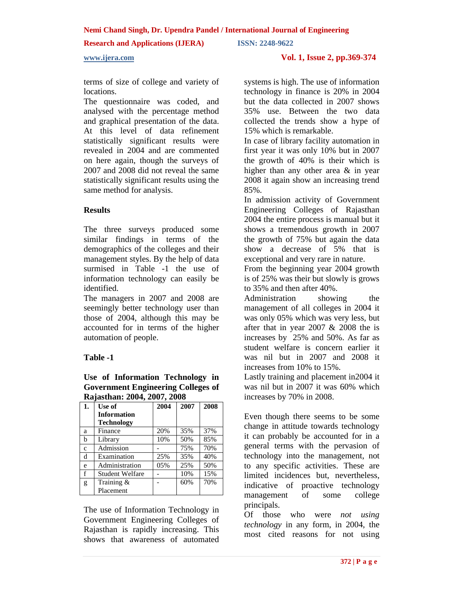### **Research and Applications (IJERA) ISSN: 2248-9622**

**www.ijera.com Vol. 1, Issue 2, pp.369-374** 

terms of size of college and variety of locations.

The questionnaire was coded, and analysed with the percentage method and graphical presentation of the data. At this level of data refinement statistically significant results were revealed in 2004 and are commented on here again, though the surveys of 2007 and 2008 did not reveal the same statistically significant results using the same method for analysis.

### **Results**

The three surveys produced some similar findings in terms of the demographics of the colleges and their management styles. By the help of data surmised in Table -1 the use of information technology can easily be identified.

The managers in 2007 and 2008 are seemingly better technology user than those of 2004, although this may be accounted for in terms of the higher automation of people.

# **Table -1**

### **Use of Information Technology in Government Engineering Colleges of Rajasthan: 2004, 2007, 2008**

| 1.           | Use of                 | 2004 | 2007 | 2008 |
|--------------|------------------------|------|------|------|
|              | <b>Information</b>     |      |      |      |
|              | <b>Technology</b>      |      |      |      |
| a            | Finance                | 20%  | 35%  | 37%  |
| $\mathbf b$  | Library                | 10%  | 50%  | 85%  |
| $\mathbf{c}$ | Admission              |      | 75%  | 70%  |
| d            | Examination            | 25%  | 35%  | 40%  |
| e            | Administration         | 05%  | 25%  | 50%  |
| f            | <b>Student Welfare</b> |      | 10%  | 15%  |
| g            | Training &             |      | 60%  | 70%  |
|              | Placement              |      |      |      |

The use of Information Technology in Government Engineering Colleges of Rajasthan is rapidly increasing. This shows that awareness of automated

systems is high. The use of information technology in finance is 20% in 2004 but the data collected in 2007 shows 35% use. Between the two data collected the trends show a hype of 15% which is remarkable.

In case of library facility automation in first year it was only 10% but in 2007 the growth of 40% is their which is higher than any other area & in year 2008 it again show an increasing trend 85%.

In admission activity of Government Engineering Colleges of Rajasthan 2004 the entire process is manual but it shows a tremendous growth in 2007 the growth of 75% but again the data show a decrease of 5% that is exceptional and very rare in nature.

From the beginning year 2004 growth is of 25% was their but slowly is grows to 35% and then after 40%.

Administration showing the management of all colleges in 2004 it was only 05% which was very less, but after that in year 2007  $& 2008$  the is increases by 25% and 50%. As far as student welfare is concern earlier it was nil but in 2007 and 2008 it increases from 10% to 15%.

Lastly training and placement in2004 it was nil but in 2007 it was 60% which increases by 70% in 2008.

Even though there seems to be some change in attitude towards technology it can probably be accounted for in a general terms with the pervasion of technology into the management, not to any specific activities. These are limited incidences but, nevertheless, indicative of proactive technology management of some college principals.

Of those who were *not using technology* in any form, in 2004, the most cited reasons for not using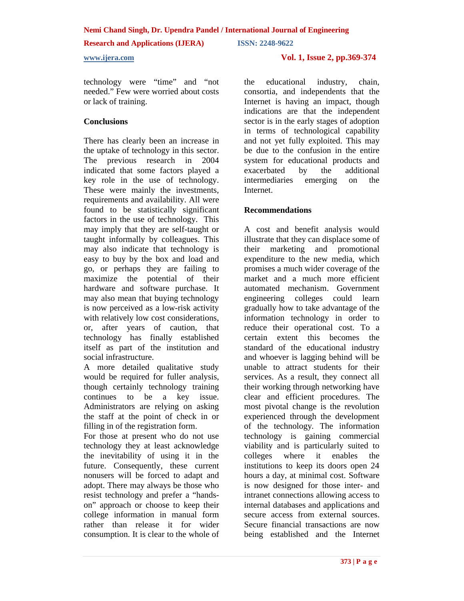**Research and Applications (IJERA) ISSN: 2248-9622** 

technology were "time" and "not needed." Few were worried about costs or lack of training.

# **Conclusions**

There has clearly been an increase in the uptake of technology in this sector. The previous research in 2004 indicated that some factors played a key role in the use of technology. These were mainly the investments, requirements and availability. All were found to be statistically significant factors in the use of technology. This may imply that they are self-taught or taught informally by colleagues. This may also indicate that technology is easy to buy by the box and load and go, or perhaps they are failing to maximize the potential of their hardware and software purchase. It may also mean that buying technology is now perceived as a low-risk activity with relatively low cost considerations, or, after years of caution, that technology has finally established itself as part of the institution and social infrastructure.

A more detailed qualitative study would be required for fuller analysis, though certainly technology training continues to be a key issue. Administrators are relying on asking the staff at the point of check in or filling in of the registration form.

For those at present who do not use technology they at least acknowledge the inevitability of using it in the future. Consequently, these current nonusers will be forced to adapt and adopt. There may always be those who resist technology and prefer a "handson" approach or choose to keep their college information in manual form rather than release it for wider consumption. It is clear to the whole of

# **www.ijera.com Vol. 1, Issue 2, pp.369-374**

the educational industry, chain, consortia, and independents that the Internet is having an impact, though indications are that the independent sector is in the early stages of adoption in terms of technological capability and not yet fully exploited. This may be due to the confusion in the entire system for educational products and exacerbated by the additional intermediaries emerging on the Internet.

### **Recommendations**

A cost and benefit analysis would illustrate that they can displace some of their marketing and promotional expenditure to the new media, which promises a much wider coverage of the market and a much more efficient automated mechanism. Government engineering colleges could learn gradually how to take advantage of the information technology in order to reduce their operational cost. To a certain extent this becomes the standard of the educational industry and whoever is lagging behind will be unable to attract students for their services. As a result, they connect all their working through networking have clear and efficient procedures. The most pivotal change is the revolution experienced through the development of the technology. The information technology is gaining commercial viability and is particularly suited to colleges where it enables the institutions to keep its doors open 24 hours a day, at minimal cost. Software is now designed for those inter- and intranet connections allowing access to internal databases and applications and secure access from external sources. Secure financial transactions are now being established and the Internet